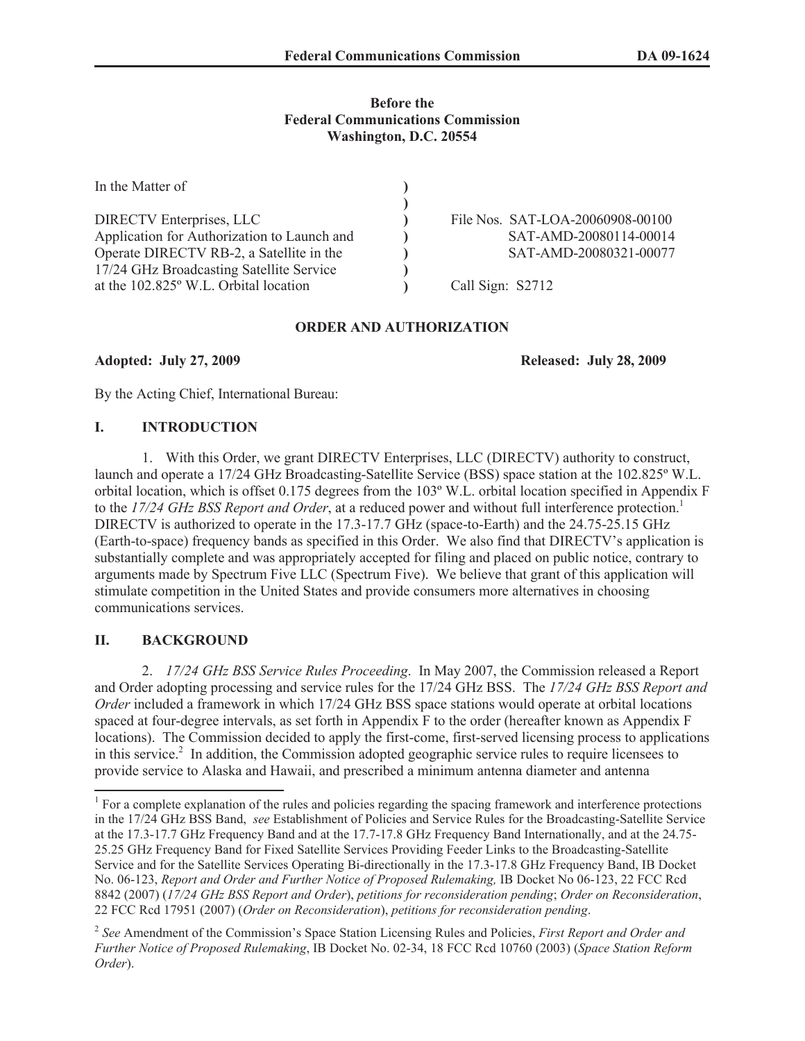#### **Before the Federal Communications Commission Washington, D.C. 20554**

| In the Matter of                            |                                  |
|---------------------------------------------|----------------------------------|
|                                             |                                  |
| <b>DIRECTV Enterprises, LLC</b>             | File Nos. SAT-LOA-20060908-00100 |
| Application for Authorization to Launch and | SAT-AMD-20080114-00014           |
| Operate DIRECTV RB-2, a Satellite in the    | SAT-AMD-20080321-00077           |
| 17/24 GHz Broadcasting Satellite Service    |                                  |
| at the 102.825° W.L. Orbital location       | Call Sign: S2712                 |

### **ORDER AND AUTHORIZATION**

**Adopted: July 27, 2009 Released: July 28, 2009**

By the Acting Chief, International Bureau:

# **I. INTRODUCTION**

1. With this Order, we grant DIRECTV Enterprises, LLC (DIRECTV) authority to construct, launch and operate a 17/24 GHz Broadcasting-Satellite Service (BSS) space station at the 102.825º W.L. orbital location, which is offset 0.175 degrees from the 103º W.L. orbital location specified in Appendix F to the *17/24 GHz BSS Report and Order*, at a reduced power and without full interference protection.<sup>1</sup> DIRECTV is authorized to operate in the 17.3-17.7 GHz (space-to-Earth) and the 24.75-25.15 GHz (Earth-to-space) frequency bands as specified in this Order. We also find that DIRECTV's application is substantially complete and was appropriately accepted for filing and placed on public notice, contrary to arguments made by Spectrum Five LLC (Spectrum Five). We believe that grant of this application will stimulate competition in the United States and provide consumers more alternatives in choosing communications services.

# **II. BACKGROUND**

2. *17/24 GHz BSS Service Rules Proceeding*. In May 2007, the Commission released a Report and Order adopting processing and service rules for the 17/24 GHz BSS. The *17/24 GHz BSS Report and Order* included a framework in which 17/24 GHz BSS space stations would operate at orbital locations spaced at four-degree intervals, as set forth in Appendix F to the order (hereafter known as Appendix F locations). The Commission decided to apply the first-come, first-served licensing process to applications in this service.<sup>2</sup> In addition, the Commission adopted geographic service rules to require licensees to provide service to Alaska and Hawaii, and prescribed a minimum antenna diameter and antenna

<sup>&</sup>lt;sup>1</sup> For a complete explanation of the rules and policies regarding the spacing framework and interference protections in the 17/24 GHz BSS Band, *see* Establishment of Policies and Service Rules for the Broadcasting-Satellite Service at the 17.3-17.7 GHz Frequency Band and at the 17.7-17.8 GHz Frequency Band Internationally, and at the 24.75- 25.25 GHz Frequency Band for Fixed Satellite Services Providing Feeder Links to the Broadcasting-Satellite Service and for the Satellite Services Operating Bi-directionally in the 17.3-17.8 GHz Frequency Band, IB Docket No. 06-123, *Report and Order and Further Notice of Proposed Rulemaking,* IB Docket No 06-123, 22 FCC Rcd 8842 (2007) (*17/24 GHz BSS Report and Order*), *petitions for reconsideration pending*; *Order on Reconsideration*, 22 FCC Rcd 17951 (2007) (*Order on Reconsideration*), *petitions for reconsideration pending*.

<sup>2</sup> *See* Amendment of the Commission's Space Station Licensing Rules and Policies, *First Report and Order and Further Notice of Proposed Rulemaking*, IB Docket No. 02-34, 18 FCC Rcd 10760 (2003) (*Space Station Reform Order*).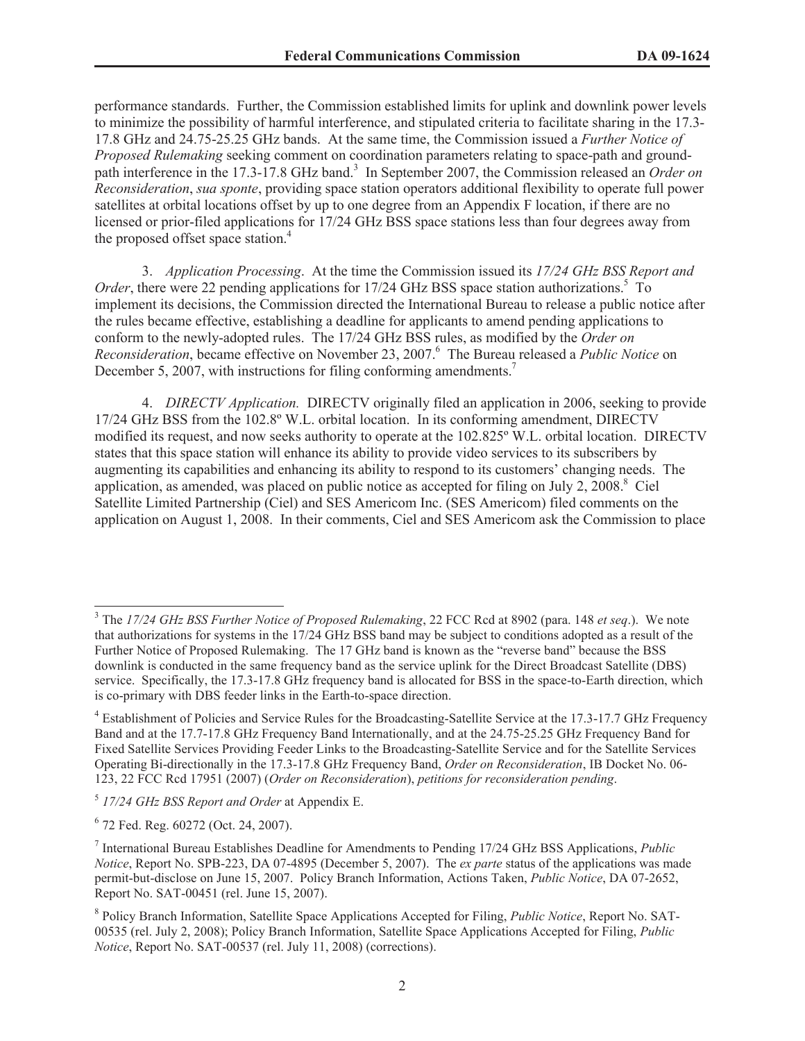performance standards. Further, the Commission established limits for uplink and downlink power levels to minimize the possibility of harmful interference, and stipulated criteria to facilitate sharing in the 17.3- 17.8 GHz and 24.75-25.25 GHz bands. At the same time, the Commission issued a *Further Notice of Proposed Rulemaking* seeking comment on coordination parameters relating to space-path and groundpath interference in the 17.3-17.8 GHz band.<sup>3</sup> In September 2007, the Commission released an *Order on Reconsideration*, *sua sponte*, providing space station operators additional flexibility to operate full power satellites at orbital locations offset by up to one degree from an Appendix F location, if there are no licensed or prior-filed applications for 17/24 GHz BSS space stations less than four degrees away from the proposed offset space station. 4

3. *Application Processing*. At the time the Commission issued its *17/24 GHz BSS Report and Order*, there were 22 pending applications for 17/24 GHz BSS space station authorizations.<sup>5</sup> To implement its decisions, the Commission directed the International Bureau to release a public notice after the rules became effective, establishing a deadline for applicants to amend pending applications to conform to the newly-adopted rules. The 17/24 GHz BSS rules, as modified by the *Order on Reconsideration*, became effective on November 23, 2007.<sup>6</sup> The Bureau released a *Public Notice* on December 5, 2007, with instructions for filing conforming amendments.<sup>7</sup>

4. *DIRECTV Application.* DIRECTV originally filed an application in 2006, seeking to provide 17/24 GHz BSS from the 102.8º W.L. orbital location. In its conforming amendment, DIRECTV modified its request, and now seeks authority to operate at the 102.825º W.L. orbital location. DIRECTV states that this space station will enhance its ability to provide video services to its subscribers by augmenting its capabilities and enhancing its ability to respond to its customers' changing needs. The application, as amended, was placed on public notice as accepted for filing on July  $2, \overline{2008}$ .<sup>8</sup> Ciel Satellite Limited Partnership (Ciel) and SES Americom Inc. (SES Americom) filed comments on the application on August 1, 2008. In their comments, Ciel and SES Americom ask the Commission to place

<sup>3</sup> The *17/24 GHz BSS Further Notice of Proposed Rulemaking*, 22 FCC Rcd at 8902 (para. 148 *et seq*.). We note that authorizations for systems in the 17/24 GHz BSS band may be subject to conditions adopted as a result of the Further Notice of Proposed Rulemaking. The 17 GHz band is known as the "reverse band" because the BSS downlink is conducted in the same frequency band as the service uplink for the Direct Broadcast Satellite (DBS) service. Specifically, the 17.3-17.8 GHz frequency band is allocated for BSS in the space-to-Earth direction, which is co-primary with DBS feeder links in the Earth-to-space direction.

<sup>&</sup>lt;sup>4</sup> Establishment of Policies and Service Rules for the Broadcasting-Satellite Service at the 17.3-17.7 GHz Frequency Band and at the 17.7-17.8 GHz Frequency Band Internationally, and at the 24.75-25.25 GHz Frequency Band for Fixed Satellite Services Providing Feeder Links to the Broadcasting-Satellite Service and for the Satellite Services Operating Bi-directionally in the 17.3-17.8 GHz Frequency Band, *Order on Reconsideration*, IB Docket No. 06- 123, 22 FCC Rcd 17951 (2007) (*Order on Reconsideration*), *petitions for reconsideration pending*.

<sup>5</sup> *17/24 GHz BSS Report and Order* at Appendix E.

<sup>6</sup> 72 Fed. Reg. 60272 (Oct. 24, 2007).

<sup>7</sup> International Bureau Establishes Deadline for Amendments to Pending 17/24 GHz BSS Applications, *Public Notice*, Report No. SPB-223, DA 07-4895 (December 5, 2007). The *ex parte* status of the applications was made permit-but-disclose on June 15, 2007. Policy Branch Information, Actions Taken, *Public Notice*, DA 07-2652, Report No. SAT-00451 (rel. June 15, 2007).

<sup>8</sup> Policy Branch Information, Satellite Space Applications Accepted for Filing, *Public Notice*, Report No. SAT-00535 (rel. July 2, 2008); Policy Branch Information, Satellite Space Applications Accepted for Filing, *Public Notice*, Report No. SAT-00537 (rel. July 11, 2008) (corrections).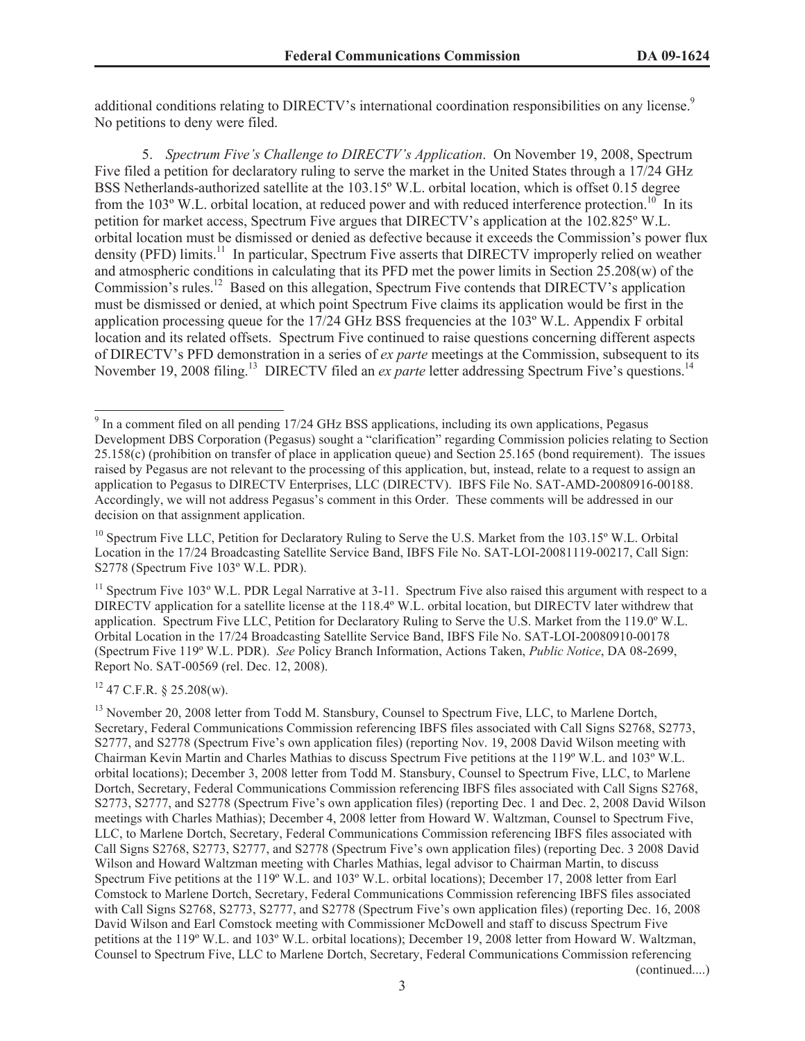additional conditions relating to DIRECTV's international coordination responsibilities on any license.<sup>9</sup> No petitions to deny were filed.

5. *Spectrum Five's Challenge to DIRECTV's Application*. On November 19, 2008, Spectrum Five filed a petition for declaratory ruling to serve the market in the United States through a 17/24 GHz BSS Netherlands-authorized satellite at the 103.15º W.L. orbital location, which is offset 0.15 degree from the 103 $^{\circ}$  W.L. orbital location, at reduced power and with reduced interference protection.<sup>10</sup> In its petition for market access, Spectrum Five argues that DIRECTV's application at the 102.825º W.L. orbital location must be dismissed or denied as defective because it exceeds the Commission's power flux density (PFD) limits.<sup>11</sup> In particular, Spectrum Five asserts that DIRECTV improperly relied on weather and atmospheric conditions in calculating that its PFD met the power limits in Section 25.208(w) of the Commission's rules.<sup>12</sup> Based on this allegation, Spectrum Five contends that DIRECTV's application must be dismissed or denied, at which point Spectrum Five claims its application would be first in the application processing queue for the 17/24 GHz BSS frequencies at the 103º W.L. Appendix F orbital location and its related offsets. Spectrum Five continued to raise questions concerning different aspects of DIRECTV's PFD demonstration in a series of *ex parte* meetings at the Commission, subsequent to its November 19, 2008 filing.<sup>13</sup> DIRECTV filed an *ex parte* letter addressing Spectrum Five's questions.<sup>14</sup>

 $12$  47 C.F.R. § 25.208(w).

<sup>&</sup>lt;sup>9</sup> In a comment filed on all pending 17/24 GHz BSS applications, including its own applications, Pegasus Development DBS Corporation (Pegasus) sought a "clarification" regarding Commission policies relating to Section 25.158(c) (prohibition on transfer of place in application queue) and Section 25.165 (bond requirement). The issues raised by Pegasus are not relevant to the processing of this application, but, instead, relate to a request to assign an application to Pegasus to DIRECTV Enterprises, LLC (DIRECTV). IBFS File No. SAT-AMD-20080916-00188. Accordingly, we will not address Pegasus's comment in this Order. These comments will be addressed in our decision on that assignment application.

<sup>&</sup>lt;sup>10</sup> Spectrum Five LLC, Petition for Declaratory Ruling to Serve the U.S. Market from the 103.15° W.L. Orbital Location in the 17/24 Broadcasting Satellite Service Band, IBFS File No. SAT-LOI-20081119-00217, Call Sign: S2778 (Spectrum Five 103º W.L. PDR).

 $11$  Spectrum Five 103° W.L. PDR Legal Narrative at 3-11. Spectrum Five also raised this argument with respect to a DIRECTV application for a satellite license at the 118.4º W.L. orbital location, but DIRECTV later withdrew that application. Spectrum Five LLC, Petition for Declaratory Ruling to Serve the U.S. Market from the 119.0º W.L. Orbital Location in the 17/24 Broadcasting Satellite Service Band, IBFS File No. SAT-LOI-20080910-00178 (Spectrum Five 119º W.L. PDR). *See* Policy Branch Information, Actions Taken, *Public Notice*, DA 08-2699, Report No. SAT-00569 (rel. Dec. 12, 2008).

<sup>&</sup>lt;sup>13</sup> November 20, 2008 letter from Todd M. Stansbury, Counsel to Spectrum Five, LLC, to Marlene Dortch, Secretary, Federal Communications Commission referencing IBFS files associated with Call Signs S2768, S2773, S2777, and S2778 (Spectrum Five's own application files) (reporting Nov. 19, 2008 David Wilson meeting with Chairman Kevin Martin and Charles Mathias to discuss Spectrum Five petitions at the 119º W.L. and 103º W.L. orbital locations); December 3, 2008 letter from Todd M. Stansbury, Counsel to Spectrum Five, LLC, to Marlene Dortch, Secretary, Federal Communications Commission referencing IBFS files associated with Call Signs S2768, S2773, S2777, and S2778 (Spectrum Five's own application files) (reporting Dec. 1 and Dec. 2, 2008 David Wilson meetings with Charles Mathias); December 4, 2008 letter from Howard W. Waltzman, Counsel to Spectrum Five, LLC, to Marlene Dortch, Secretary, Federal Communications Commission referencing IBFS files associated with Call Signs S2768, S2773, S2777, and S2778 (Spectrum Five's own application files) (reporting Dec. 3 2008 David Wilson and Howard Waltzman meeting with Charles Mathias, legal advisor to Chairman Martin, to discuss Spectrum Five petitions at the 119º W.L. and 103º W.L. orbital locations); December 17, 2008 letter from Earl Comstock to Marlene Dortch, Secretary, Federal Communications Commission referencing IBFS files associated with Call Signs S2768, S2773, S2777, and S2778 (Spectrum Five's own application files) (reporting Dec. 16, 2008 David Wilson and Earl Comstock meeting with Commissioner McDowell and staff to discuss Spectrum Five petitions at the 119º W.L. and 103º W.L. orbital locations); December 19, 2008 letter from Howard W. Waltzman, Counsel to Spectrum Five, LLC to Marlene Dortch, Secretary, Federal Communications Commission referencing (continued....)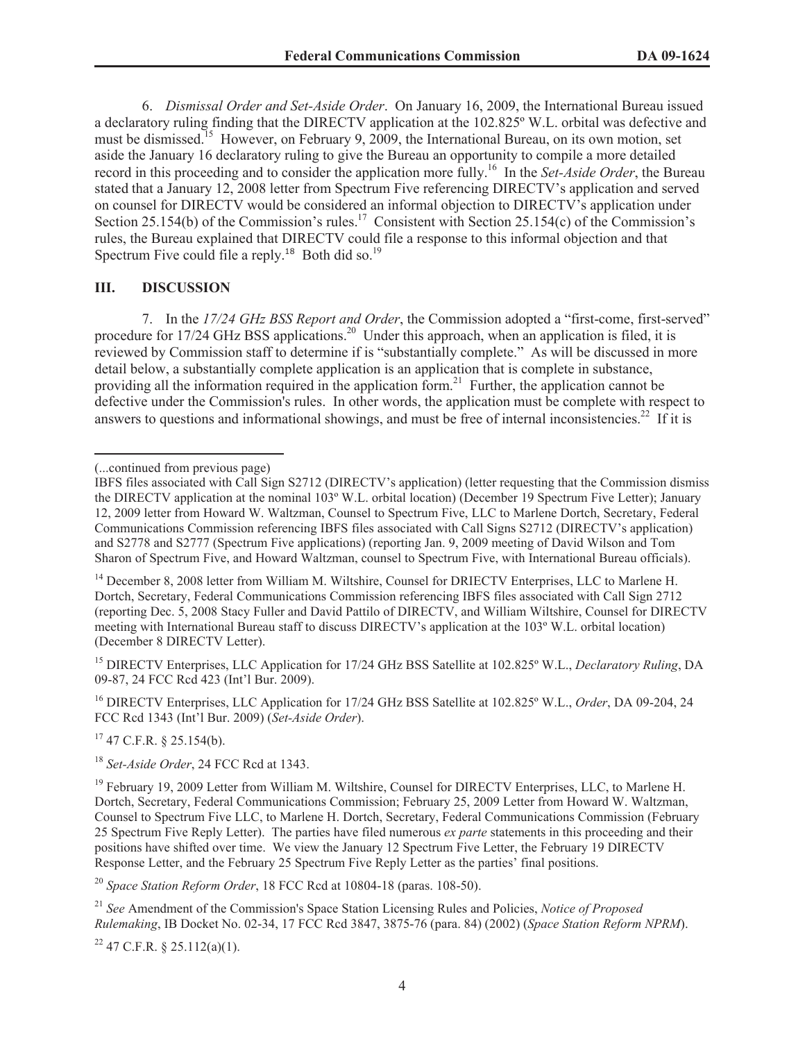6. *Dismissal Order and Set-Aside Order*. On January 16, 2009, the International Bureau issued a declaratory ruling finding that the DIRECTV application at the 102.825º W.L. orbital was defective and must be dismissed.<sup>15</sup> However, on February 9, 2009, the International Bureau, on its own motion, set aside the January 16 declaratory ruling to give the Bureau an opportunity to compile a more detailed record in this proceeding and to consider the application more fully.<sup>16</sup> In the *Set-Aside Order*, the Bureau stated that a January 12, 2008 letter from Spectrum Five referencing DIRECTV's application and served on counsel for DIRECTV would be considered an informal objection to DIRECTV's application under Section 25.154(b) of the Commission's rules.<sup>17</sup> Consistent with Section 25.154(c) of the Commission's rules, the Bureau explained that DIRECTV could file a response to this informal objection and that Spectrum Five could file a reply.<sup>18</sup> Both did so.<sup>19</sup>

### **III. DISCUSSION**

7. In the *17/24 GHz BSS Report and Order*, the Commission adopted a "first-come, first-served" procedure for 17/24 GHz BSS applications.<sup>20</sup> Under this approach, when an application is filed, it is reviewed by Commission staff to determine if is "substantially complete." As will be discussed in more detail below, a substantially complete application is an application that is complete in substance, providing all the information required in the application form.<sup>21</sup> Further, the application cannot be defective under the Commission's rules. In other words, the application must be complete with respect to answers to questions and informational showings, and must be free of internal inconsistencies.<sup>22</sup> If it is

<sup>15</sup> DIRECTV Enterprises, LLC Application for 17/24 GHz BSS Satellite at 102.825º W.L., *Declaratory Ruling*, DA 09-87, 24 FCC Rcd 423 (Int'l Bur. 2009).

<sup>16</sup> DIRECTV Enterprises, LLC Application for 17/24 GHz BSS Satellite at 102.825º W.L., *Order*, DA 09-204, 24 FCC Rcd 1343 (Int'l Bur. 2009) (*Set-Aside Order*).

 $17$  47 C.F.R. § 25.154(b).

<sup>18</sup> *Set-Aside Order*, 24 FCC Rcd at 1343.

<sup>20</sup> *Space Station Reform Order*, 18 FCC Rcd at 10804-18 (paras. 108-50).

<sup>21</sup> *See* Amendment of the Commission's Space Station Licensing Rules and Policies, *Notice of Proposed Rulemaking*, IB Docket No. 02-34, 17 FCC Rcd 3847, 3875-76 (para. 84) (2002) (*Space Station Reform NPRM*).

 $22$  47 C.F.R. § 25.112(a)(1).

<sup>(...</sup>continued from previous page)

IBFS files associated with Call Sign S2712 (DIRECTV's application) (letter requesting that the Commission dismiss the DIRECTV application at the nominal 103º W.L. orbital location) (December 19 Spectrum Five Letter); January 12, 2009 letter from Howard W. Waltzman, Counsel to Spectrum Five, LLC to Marlene Dortch, Secretary, Federal Communications Commission referencing IBFS files associated with Call Signs S2712 (DIRECTV's application) and S2778 and S2777 (Spectrum Five applications) (reporting Jan. 9, 2009 meeting of David Wilson and Tom Sharon of Spectrum Five, and Howard Waltzman, counsel to Spectrum Five, with International Bureau officials).

<sup>&</sup>lt;sup>14</sup> December 8, 2008 letter from William M. Wiltshire, Counsel for DRIECTV Enterprises, LLC to Marlene H. Dortch, Secretary, Federal Communications Commission referencing IBFS files associated with Call Sign 2712 (reporting Dec. 5, 2008 Stacy Fuller and David Pattilo of DIRECTV, and William Wiltshire, Counsel for DIRECTV meeting with International Bureau staff to discuss DIRECTV's application at the 103º W.L. orbital location) (December 8 DIRECTV Letter).

<sup>&</sup>lt;sup>19</sup> February 19, 2009 Letter from William M. Wiltshire, Counsel for DIRECTV Enterprises, LLC, to Marlene H. Dortch, Secretary, Federal Communications Commission; February 25, 2009 Letter from Howard W. Waltzman, Counsel to Spectrum Five LLC, to Marlene H. Dortch, Secretary, Federal Communications Commission (February 25 Spectrum Five Reply Letter). The parties have filed numerous *ex parte* statements in this proceeding and their positions have shifted over time. We view the January 12 Spectrum Five Letter, the February 19 DIRECTV Response Letter, and the February 25 Spectrum Five Reply Letter as the parties' final positions.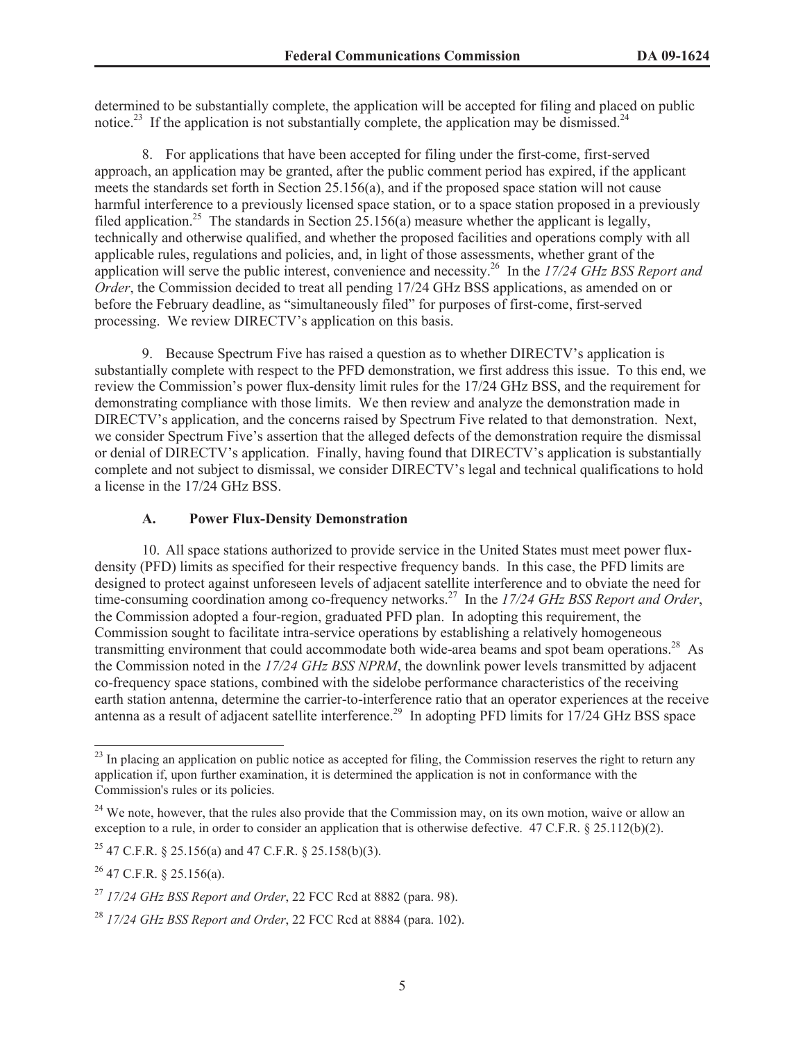determined to be substantially complete, the application will be accepted for filing and placed on public notice.<sup>23</sup> If the application is not substantially complete, the application may be dismissed.<sup>24</sup>

8. For applications that have been accepted for filing under the first-come, first-served approach, an application may be granted, after the public comment period has expired, if the applicant meets the standards set forth in Section 25.156(a), and if the proposed space station will not cause harmful interference to a previously licensed space station, or to a space station proposed in a previously filed application.<sup>25</sup> The standards in Section  $25.156(a)$  measure whether the applicant is legally, technically and otherwise qualified, and whether the proposed facilities and operations comply with all applicable rules, regulations and policies, and, in light of those assessments, whether grant of the application will serve the public interest, convenience and necessity.<sup>26</sup> In the *17/24 GHz BSS Report and Order*, the Commission decided to treat all pending 17/24 GHz BSS applications, as amended on or before the February deadline, as "simultaneously filed" for purposes of first-come, first-served processing. We review DIRECTV's application on this basis.

9. Because Spectrum Five has raised a question as to whether DIRECTV's application is substantially complete with respect to the PFD demonstration, we first address this issue. To this end, we review the Commission's power flux-density limit rules for the 17/24 GHz BSS, and the requirement for demonstrating compliance with those limits. We then review and analyze the demonstration made in DIRECTV's application, and the concerns raised by Spectrum Five related to that demonstration. Next, we consider Spectrum Five's assertion that the alleged defects of the demonstration require the dismissal or denial of DIRECTV's application. Finally, having found that DIRECTV's application is substantially complete and not subject to dismissal, we consider DIRECTV's legal and technical qualifications to hold a license in the 17/24 GHz BSS.

### **A. Power Flux-Density Demonstration**

10. All space stations authorized to provide service in the United States must meet power fluxdensity (PFD) limits as specified for their respective frequency bands. In this case, the PFD limits are designed to protect against unforeseen levels of adjacent satellite interference and to obviate the need for time-consuming coordination among co-frequency networks.<sup>27</sup> In the *17/24 GHz BSS Report and Order*, the Commission adopted a four-region, graduated PFD plan. In adopting this requirement, the Commission sought to facilitate intra-service operations by establishing a relatively homogeneous transmitting environment that could accommodate both wide-area beams and spot beam operations.<sup>28</sup> As the Commission noted in the *17/24 GHz BSS NPRM*, the downlink power levels transmitted by adjacent co-frequency space stations, combined with the sidelobe performance characteristics of the receiving earth station antenna, determine the carrier-to-interference ratio that an operator experiences at the receive antenna as a result of adjacent satellite interference.<sup>29</sup> In adopting PFD limits for 17/24 GHz BSS space

<sup>&</sup>lt;sup>23</sup> In placing an application on public notice as accepted for filing, the Commission reserves the right to return any application if, upon further examination, it is determined the application is not in conformance with the Commission's rules or its policies.

<sup>&</sup>lt;sup>24</sup> We note, however, that the rules also provide that the Commission may, on its own motion, waive or allow an exception to a rule, in order to consider an application that is otherwise defective. 47 C.F.R. § 25.112(b)(2).

<sup>&</sup>lt;sup>25</sup> 47 C.F.R. § 25.156(a) and 47 C.F.R. § 25.158(b)(3).

 $26$  47 C.F.R. § 25.156(a).

<sup>27</sup> *17/24 GHz BSS Report and Order*, 22 FCC Rcd at 8882 (para. 98).

<sup>28</sup> *17/24 GHz BSS Report and Order*, 22 FCC Rcd at 8884 (para. 102).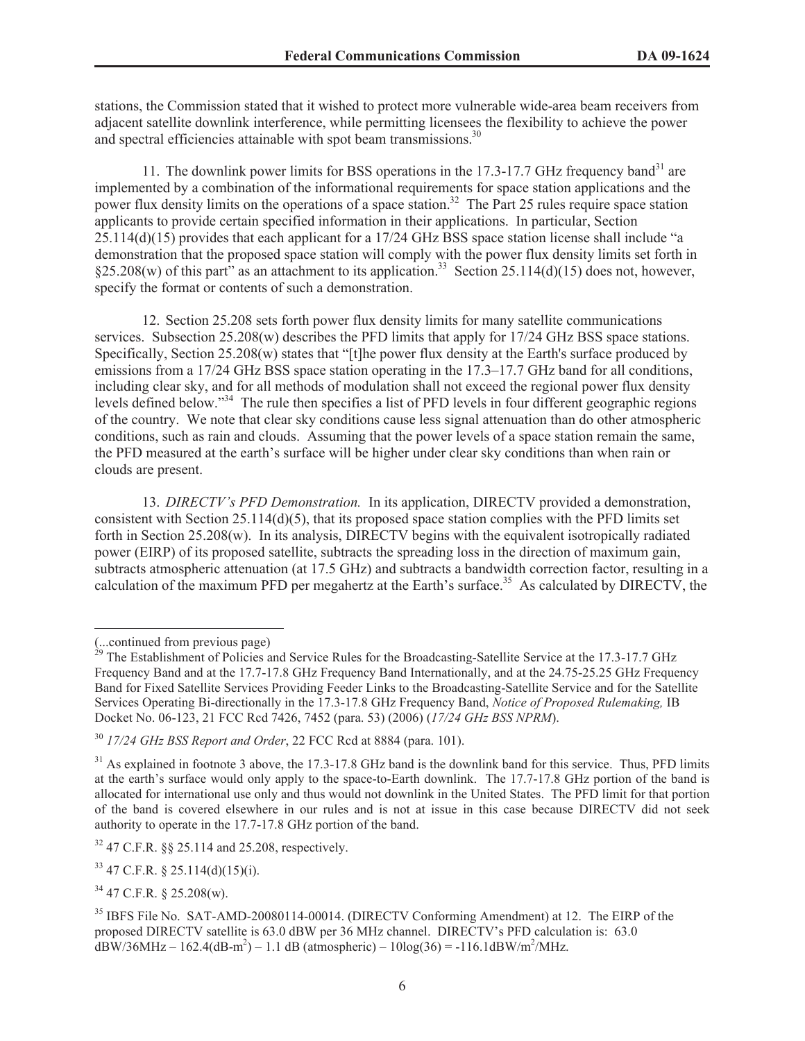stations, the Commission stated that it wished to protect more vulnerable wide-area beam receivers from adjacent satellite downlink interference, while permitting licensees the flexibility to achieve the power and spectral efficiencies attainable with spot beam transmissions.<sup>30</sup>

11. The downlink power limits for BSS operations in the  $17.3$ -17.7 GHz frequency band<sup>31</sup> are implemented by a combination of the informational requirements for space station applications and the power flux density limits on the operations of a space station.<sup>32</sup> The Part 25 rules require space station applicants to provide certain specified information in their applications. In particular, Section 25.114(d)(15) provides that each applicant for a 17/24 GHz BSS space station license shall include "a demonstration that the proposed space station will comply with the power flux density limits set forth in  $\S25.208(w)$  of this part" as an attachment to its application.<sup>33</sup> Section 25.114(d)(15) does not, however, specify the format or contents of such a demonstration.

12. Section 25.208 sets forth power flux density limits for many satellite communications services. Subsection 25.208(w) describes the PFD limits that apply for 17/24 GHz BSS space stations. Specifically, Section 25.208(w) states that "[t]he power flux density at the Earth's surface produced by emissions from a 17/24 GHz BSS space station operating in the 17.3–17.7 GHz band for all conditions, including clear sky, and for all methods of modulation shall not exceed the regional power flux density levels defined below."<sup>34</sup> The rule then specifies a list of PFD levels in four different geographic regions of the country. We note that clear sky conditions cause less signal attenuation than do other atmospheric conditions, such as rain and clouds. Assuming that the power levels of a space station remain the same, the PFD measured at the earth's surface will be higher under clear sky conditions than when rain or clouds are present.

13. *DIRECTV's PFD Demonstration.* In its application, DIRECTV provided a demonstration, consistent with Section 25.114(d)(5), that its proposed space station complies with the PFD limits set forth in Section 25.208(w). In its analysis, DIRECTV begins with the equivalent isotropically radiated power (EIRP) of its proposed satellite, subtracts the spreading loss in the direction of maximum gain, subtracts atmospheric attenuation (at 17.5 GHz) and subtracts a bandwidth correction factor, resulting in a calculation of the maximum PFD per megahertz at the Earth's surface.<sup>35</sup> As calculated by DIRECTV, the

<sup>32</sup> 47 C.F.R. §§ 25.114 and 25.208, respectively.

<sup>(...</sup>continued from previous page)

<sup>&</sup>lt;sup>29</sup> The Establishment of Policies and Service Rules for the Broadcasting-Satellite Service at the 17.3-17.7 GHz Frequency Band and at the 17.7-17.8 GHz Frequency Band Internationally, and at the 24.75-25.25 GHz Frequency Band for Fixed Satellite Services Providing Feeder Links to the Broadcasting-Satellite Service and for the Satellite Services Operating Bi-directionally in the 17.3-17.8 GHz Frequency Band, *Notice of Proposed Rulemaking,* IB Docket No. 06-123, 21 FCC Rcd 7426, 7452 (para. 53) (2006) (*17/24 GHz BSS NPRM*).

<sup>30</sup> *17/24 GHz BSS Report and Order*, 22 FCC Rcd at 8884 (para. 101).

<sup>&</sup>lt;sup>31</sup> As explained in footnote 3 above, the 17.3-17.8 GHz band is the downlink band for this service. Thus, PFD limits at the earth's surface would only apply to the space-to-Earth downlink. The 17.7-17.8 GHz portion of the band is allocated for international use only and thus would not downlink in the United States. The PFD limit for that portion of the band is covered elsewhere in our rules and is not at issue in this case because DIRECTV did not seek authority to operate in the 17.7-17.8 GHz portion of the band.

 $33$  47 C.F.R. § 25.114(d)(15)(i).

<sup>34</sup> 47 C.F.R. § 25.208(w).

<sup>&</sup>lt;sup>35</sup> IBFS File No. SAT-AMD-20080114-00014. (DIRECTV Conforming Amendment) at 12. The EIRP of the proposed DIRECTV satellite is 63.0 dBW per 36 MHz channel. DIRECTV's PFD calculation is: 63.0  $\text{dBW}/36\text{MHz} - 162.4(\text{dB-m}^2) - 1.1 \text{ dB}(\text{atmospheric}) - 10\log(36) = -116.1 \text{dBW/m}^2/\text{MHz}.$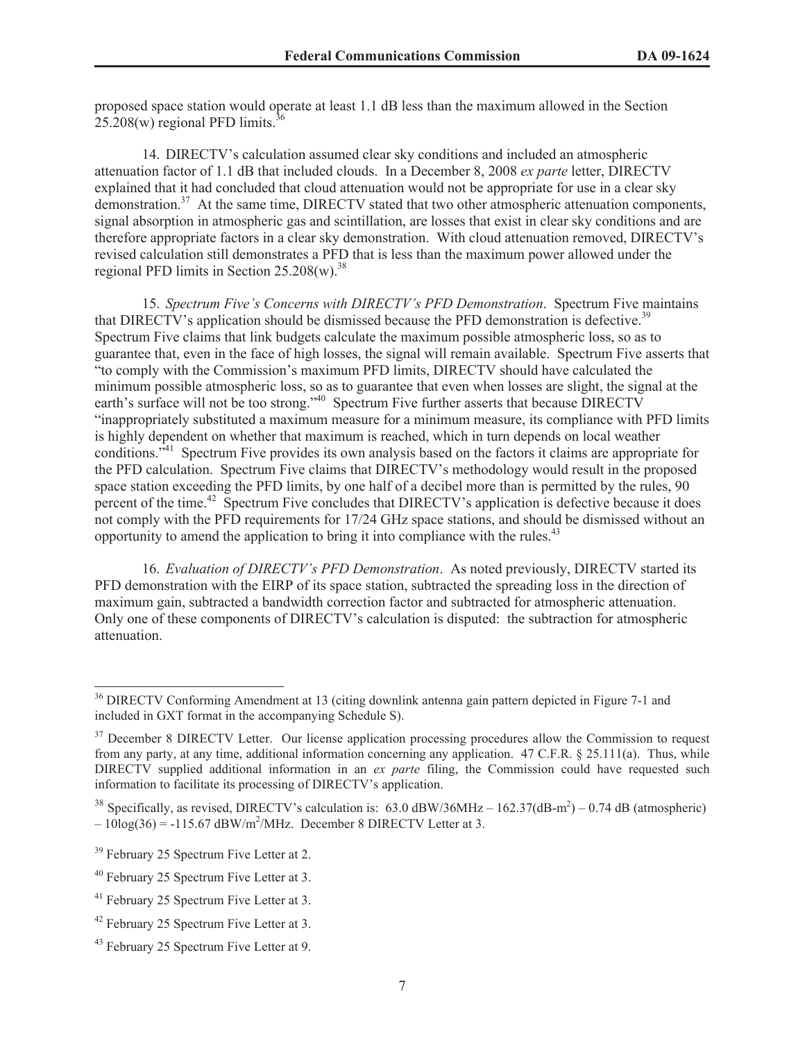proposed space station would operate at least 1.1 dB less than the maximum allowed in the Section  $25.208(w)$  regional PFD limits.<sup>36</sup>

14. DIRECTV's calculation assumed clear sky conditions and included an atmospheric attenuation factor of 1.1 dB that included clouds. In a December 8, 2008 *ex parte* letter, DIRECTV explained that it had concluded that cloud attenuation would not be appropriate for use in a clear sky demonstration.<sup>37</sup> At the same time, DIRECTV stated that two other atmospheric attenuation components, signal absorption in atmospheric gas and scintillation, are losses that exist in clear sky conditions and are therefore appropriate factors in a clear sky demonstration. With cloud attenuation removed, DIRECTV's revised calculation still demonstrates a PFD that is less than the maximum power allowed under the regional PFD limits in Section  $25.208(w)^{38}$ 

15. *Spectrum Five's Concerns with DIRECTV's PFD Demonstration*. Spectrum Five maintains that DIRECTV's application should be dismissed because the PFD demonstration is defective.<sup>39</sup> Spectrum Five claims that link budgets calculate the maximum possible atmospheric loss, so as to guarantee that, even in the face of high losses, the signal will remain available. Spectrum Five asserts that "to comply with the Commission's maximum PFD limits, DIRECTV should have calculated the minimum possible atmospheric loss, so as to guarantee that even when losses are slight, the signal at the earth's surface will not be too strong."<sup>40</sup> Spectrum Five further asserts that because DIRECTV "inappropriately substituted a maximum measure for a minimum measure, its compliance with PFD limits is highly dependent on whether that maximum is reached, which in turn depends on local weather conditions.<sup>341</sup> Spectrum Five provides its own analysis based on the factors it claims are appropriate for the PFD calculation. Spectrum Five claims that DIRECTV's methodology would result in the proposed space station exceeding the PFD limits, by one half of a decibel more than is permitted by the rules, 90 percent of the time.<sup>42</sup> Spectrum Five concludes that DIRECTV's application is defective because it does not comply with the PFD requirements for 17/24 GHz space stations, and should be dismissed without an opportunity to amend the application to bring it into compliance with the rules. $43$ 

16. *Evaluation of DIRECTV's PFD Demonstration*. As noted previously, DIRECTV started its PFD demonstration with the EIRP of its space station, subtracted the spreading loss in the direction of maximum gain, subtracted a bandwidth correction factor and subtracted for atmospheric attenuation. Only one of these components of DIRECTV's calculation is disputed: the subtraction for atmospheric attenuation.

<sup>&</sup>lt;sup>36</sup> DIRECTV Conforming Amendment at 13 (citing downlink antenna gain pattern depicted in Figure 7-1 and included in GXT format in the accompanying Schedule S).

<sup>&</sup>lt;sup>37</sup> December 8 DIRECTV Letter. Our license application processing procedures allow the Commission to request from any party, at any time, additional information concerning any application. 47 C.F.R. § 25.111(a). Thus, while DIRECTV supplied additional information in an *ex parte* filing, the Commission could have requested such information to facilitate its processing of DIRECTV's application.

<sup>&</sup>lt;sup>38</sup> Specifically, as revised, DIRECTV's calculation is:  $63.0 \text{ dBW}/36 \text{MHz} - 162.37(\text{dB-m}^2) - 0.74 \text{ dB}$  (atmospheric)  $-10\log(36) = -115.67 \text{ dBW/m}^2/\text{MHz}$ . December 8 DIRECTV Letter at 3.

<sup>&</sup>lt;sup>39</sup> February 25 Spectrum Five Letter at 2.

<sup>40</sup> February 25 Spectrum Five Letter at 3.

<sup>&</sup>lt;sup>41</sup> February 25 Spectrum Five Letter at 3.

<sup>&</sup>lt;sup>42</sup> February 25 Spectrum Five Letter at 3.

<sup>&</sup>lt;sup>43</sup> February 25 Spectrum Five Letter at 9.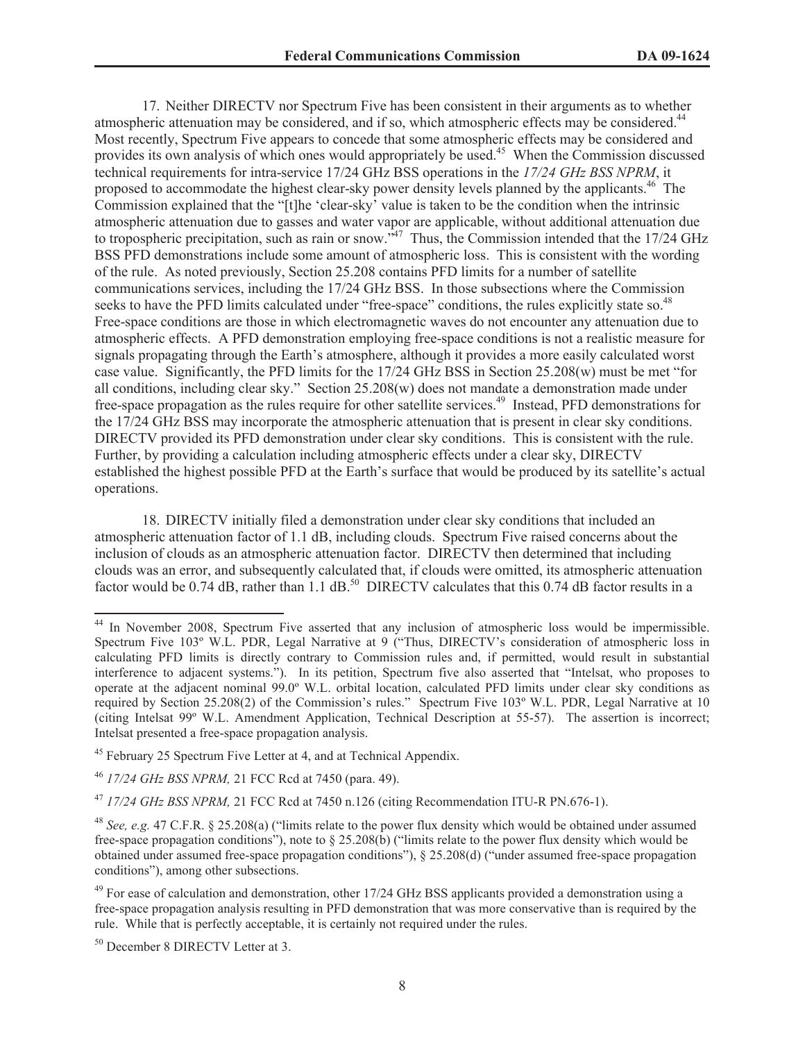17. Neither DIRECTV nor Spectrum Five has been consistent in their arguments as to whether atmospheric attenuation may be considered, and if so, which atmospheric effects may be considered.<sup>44</sup> Most recently, Spectrum Five appears to concede that some atmospheric effects may be considered and provides its own analysis of which ones would appropriately be used.<sup>45</sup> When the Commission discussed technical requirements for intra-service 17/24 GHz BSS operations in the *17/24 GHz BSS NPRM*, it proposed to accommodate the highest clear-sky power density levels planned by the applicants.<sup>46</sup> The Commission explained that the "[t]he 'clear-sky' value is taken to be the condition when the intrinsic atmospheric attenuation due to gasses and water vapor are applicable, without additional attenuation due to tropospheric precipitation, such as rain or snow.<sup> $347$ </sup> Thus, the Commission intended that the 17/24 GHz BSS PFD demonstrations include some amount of atmospheric loss. This is consistent with the wording of the rule. As noted previously, Section 25.208 contains PFD limits for a number of satellite communications services, including the 17/24 GHz BSS. In those subsections where the Commission seeks to have the PFD limits calculated under "free-space" conditions, the rules explicitly state so.<sup>48</sup> Free-space conditions are those in which electromagnetic waves do not encounter any attenuation due to atmospheric effects. A PFD demonstration employing free-space conditions is not a realistic measure for signals propagating through the Earth's atmosphere, although it provides a more easily calculated worst case value. Significantly, the PFD limits for the 17/24 GHz BSS in Section 25.208(w) must be met "for all conditions, including clear sky." Section 25.208(w) does not mandate a demonstration made under free-space propagation as the rules require for other satellite services.<sup>49</sup> Instead, PFD demonstrations for the 17/24 GHz BSS may incorporate the atmospheric attenuation that is present in clear sky conditions. DIRECTV provided its PFD demonstration under clear sky conditions. This is consistent with the rule. Further, by providing a calculation including atmospheric effects under a clear sky, DIRECTV established the highest possible PFD at the Earth's surface that would be produced by its satellite's actual operations.

18. DIRECTV initially filed a demonstration under clear sky conditions that included an atmospheric attenuation factor of 1.1 dB, including clouds. Spectrum Five raised concerns about the inclusion of clouds as an atmospheric attenuation factor. DIRECTV then determined that including clouds was an error, and subsequently calculated that, if clouds were omitted, its atmospheric attenuation factor would be  $0.74$  dB, rather than 1.1 dB.<sup>50</sup> DIRECTV calculates that this  $0.74$  dB factor results in a

<sup>&</sup>lt;sup>44</sup> In November 2008, Spectrum Five asserted that any inclusion of atmospheric loss would be impermissible. Spectrum Five 103º W.L. PDR, Legal Narrative at 9 ("Thus, DIRECTV's consideration of atmospheric loss in calculating PFD limits is directly contrary to Commission rules and, if permitted, would result in substantial interference to adjacent systems."). In its petition, Spectrum five also asserted that "Intelsat, who proposes to operate at the adjacent nominal 99.0º W.L. orbital location, calculated PFD limits under clear sky conditions as required by Section 25.208(2) of the Commission's rules." Spectrum Five 103º W.L. PDR, Legal Narrative at 10 (citing Intelsat 99º W.L. Amendment Application, Technical Description at 55-57). The assertion is incorrect; Intelsat presented a free-space propagation analysis.

<sup>45</sup> February 25 Spectrum Five Letter at 4, and at Technical Appendix.

<sup>46</sup> *17/24 GHz BSS NPRM,* 21 FCC Rcd at 7450 (para. 49).

<sup>47</sup> *17/24 GHz BSS NPRM,* 21 FCC Rcd at 7450 n.126 (citing Recommendation ITU-R PN.676-1).

<sup>48</sup> *See, e.g.* 47 C.F.R. § 25.208(a) ("limits relate to the power flux density which would be obtained under assumed free-space propagation conditions"), note to § 25.208(b) ("limits relate to the power flux density which would be obtained under assumed free-space propagation conditions"), § 25.208(d) ("under assumed free-space propagation conditions"), among other subsections.

<sup>&</sup>lt;sup>49</sup> For ease of calculation and demonstration, other 17/24 GHz BSS applicants provided a demonstration using a free-space propagation analysis resulting in PFD demonstration that was more conservative than is required by the rule. While that is perfectly acceptable, it is certainly not required under the rules.

<sup>50</sup> December 8 DIRECTV Letter at 3.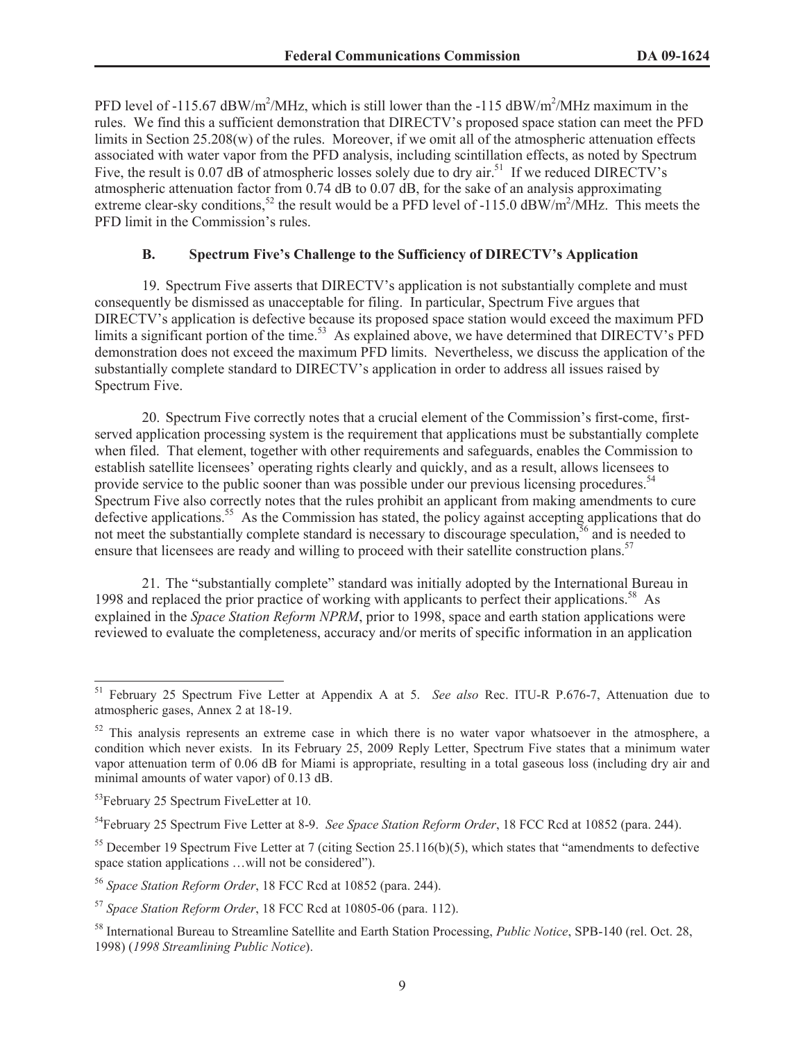PFD level of -115.67  $\frac{dBW}{m^2}$ /MHz, which is still lower than the -115  $\frac{dBW}{m^2}$ /MHz maximum in the rules. We find this a sufficient demonstration that DIRECTV's proposed space station can meet the PFD limits in Section 25.208(w) of the rules. Moreover, if we omit all of the atmospheric attenuation effects associated with water vapor from the PFD analysis, including scintillation effects, as noted by Spectrum Five, the result is 0.07 dB of atmospheric losses solely due to dry air.<sup>51</sup> If we reduced DIRECTV's atmospheric attenuation factor from 0.74 dB to 0.07 dB, for the sake of an analysis approximating extreme clear-sky conditions,<sup>52</sup> the result would be a PFD level of -115.0  $\frac{dBW}{m^2}$  MHz. This meets the PFD limit in the Commission's rules.

## **B. Spectrum Five's Challenge to the Sufficiency of DIRECTV's Application**

19. Spectrum Five asserts that DIRECTV's application is not substantially complete and must consequently be dismissed as unacceptable for filing. In particular, Spectrum Five argues that DIRECTV's application is defective because its proposed space station would exceed the maximum PFD limits a significant portion of the time.<sup>53</sup> As explained above, we have determined that DIRECTV's PFD demonstration does not exceed the maximum PFD limits. Nevertheless, we discuss the application of the substantially complete standard to DIRECTV's application in order to address all issues raised by Spectrum Five.

20. Spectrum Five correctly notes that a crucial element of the Commission's first-come, firstserved application processing system is the requirement that applications must be substantially complete when filed. That element, together with other requirements and safeguards, enables the Commission to establish satellite licensees' operating rights clearly and quickly, and as a result, allows licensees to provide service to the public sooner than was possible under our previous licensing procedures.<sup>54</sup> Spectrum Five also correctly notes that the rules prohibit an applicant from making amendments to cure defective applications.<sup>55</sup> As the Commission has stated, the policy against accepting applications that do not meet the substantially complete standard is necessary to discourage speculation,<sup>56</sup> and is needed to ensure that licensees are ready and willing to proceed with their satellite construction plans.<sup>57</sup>

21. The "substantially complete" standard was initially adopted by the International Bureau in 1998 and replaced the prior practice of working with applicants to perfect their applications.<sup>58</sup> As explained in the *Space Station Reform NPRM*, prior to 1998, space and earth station applications were reviewed to evaluate the completeness, accuracy and/or merits of specific information in an application

<sup>51</sup> February 25 Spectrum Five Letter at Appendix A at 5. *See also* Rec. ITU-R P.676-7, Attenuation due to atmospheric gases, Annex 2 at 18-19.

 $52$  This analysis represents an extreme case in which there is no water vapor whatsoever in the atmosphere, a condition which never exists. In its February 25, 2009 Reply Letter, Spectrum Five states that a minimum water vapor attenuation term of 0.06 dB for Miami is appropriate, resulting in a total gaseous loss (including dry air and minimal amounts of water vapor) of 0.13 dB.

<sup>&</sup>lt;sup>53</sup>February 25 Spectrum FiveLetter at 10.

<sup>54</sup>February 25 Spectrum Five Letter at 8-9. *See Space Station Reform Order*, 18 FCC Rcd at 10852 (para. 244).

 $55$  December 19 Spectrum Five Letter at 7 (citing Section 25.116(b)(5), which states that "amendments to defective space station applications …will not be considered").

<sup>56</sup> *Space Station Reform Order*, 18 FCC Rcd at 10852 (para. 244).

<sup>57</sup> *Space Station Reform Order*, 18 FCC Rcd at 10805-06 (para. 112).

<sup>58</sup> International Bureau to Streamline Satellite and Earth Station Processing, *Public Notice*, SPB-140 (rel. Oct. 28, 1998) (*1998 Streamlining Public Notice*).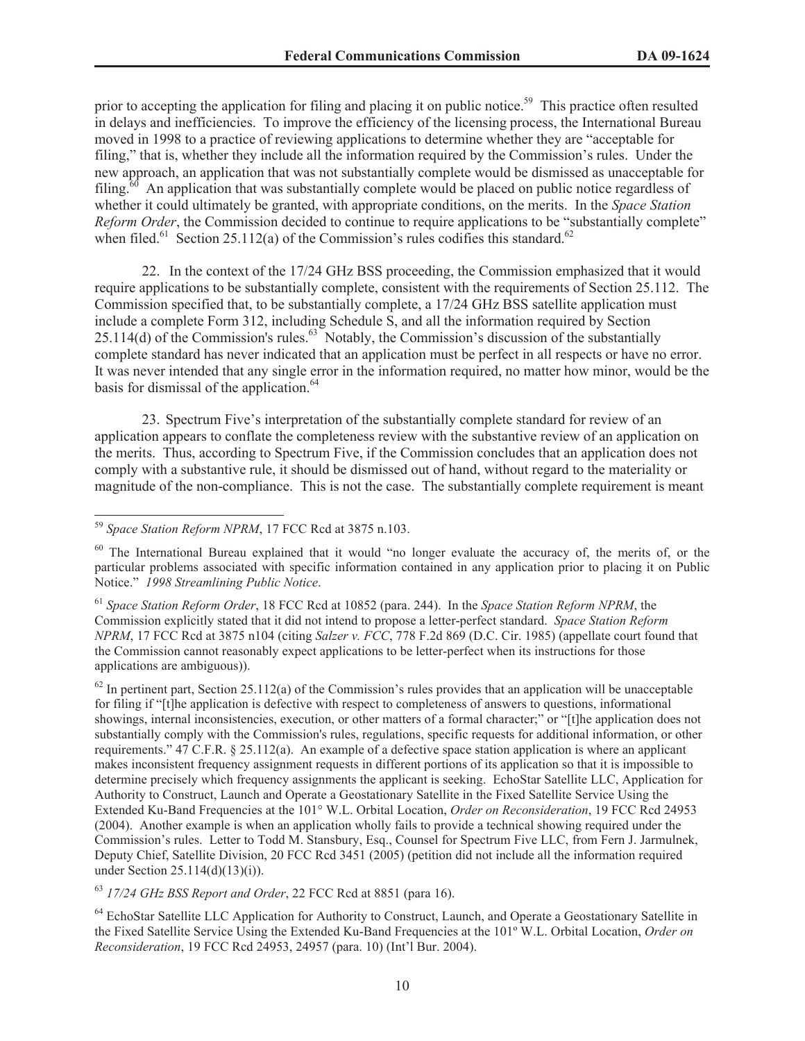prior to accepting the application for filing and placing it on public notice.<sup>59</sup> This practice often resulted in delays and inefficiencies. To improve the efficiency of the licensing process, the International Bureau moved in 1998 to a practice of reviewing applications to determine whether they are "acceptable for filing," that is, whether they include all the information required by the Commission's rules. Under the new approach, an application that was not substantially complete would be dismissed as unacceptable for  $\frac{60}{1}$  An application that was substantially complete would be placed on public notice regardless of whether it could ultimately be granted, with appropriate conditions, on the merits. In the *Space Station Reform Order*, the Commission decided to continue to require applications to be "substantially complete" when filed.<sup>61</sup> Section 25.112(a) of the Commission's rules codifies this standard.<sup>62</sup>

22. In the context of the 17/24 GHz BSS proceeding, the Commission emphasized that it would require applications to be substantially complete, consistent with the requirements of Section 25.112. The Commission specified that, to be substantially complete, a 17/24 GHz BSS satellite application must include a complete Form 312, including Schedule S, and all the information required by Section  $25.114(d)$  of the Commission's rules.<sup>63</sup> Notably, the Commission's discussion of the substantially complete standard has never indicated that an application must be perfect in all respects or have no error. It was never intended that any single error in the information required, no matter how minor, would be the basis for dismissal of the application.<sup>64</sup>

23. Spectrum Five's interpretation of the substantially complete standard for review of an application appears to conflate the completeness review with the substantive review of an application on the merits. Thus, according to Spectrum Five, if the Commission concludes that an application does not comply with a substantive rule, it should be dismissed out of hand, without regard to the materiality or magnitude of the non-compliance. This is not the case. The substantially complete requirement is meant

<sup>61</sup> *Space Station Reform Order*, 18 FCC Rcd at 10852 (para. 244). In the *Space Station Reform NPRM*, the Commission explicitly stated that it did not intend to propose a letter-perfect standard. *Space Station Reform NPRM*, 17 FCC Rcd at 3875 n104 (citing *Salzer v. FCC*, 778 F.2d 869 (D.C. Cir. 1985) (appellate court found that the Commission cannot reasonably expect applications to be letter-perfect when its instructions for those applications are ambiguous)).

 $62$  In pertinent part, Section 25.112(a) of the Commission's rules provides that an application will be unacceptable for filing if "[t]he application is defective with respect to completeness of answers to questions, informational showings, internal inconsistencies, execution, or other matters of a formal character;" or "[t]he application does not substantially comply with the Commission's rules, regulations, specific requests for additional information, or other requirements." 47 C.F.R. § 25.112(a). An example of a defective space station application is where an applicant makes inconsistent frequency assignment requests in different portions of its application so that it is impossible to determine precisely which frequency assignments the applicant is seeking. EchoStar Satellite LLC, Application for Authority to Construct, Launch and Operate a Geostationary Satellite in the Fixed Satellite Service Using the Extended Ku-Band Frequencies at the 101° W.L. Orbital Location, *Order on Reconsideration*, 19 FCC Rcd 24953 (2004). Another example is when an application wholly fails to provide a technical showing required under the Commission's rules. Letter to Todd M. Stansbury, Esq., Counsel for Spectrum Five LLC, from Fern J. Jarmulnek, Deputy Chief, Satellite Division, 20 FCC Rcd 3451 (2005) (petition did not include all the information required under Section 25.114(d)(13)(i)).

<sup>63</sup> *17/24 GHz BSS Report and Order*, 22 FCC Rcd at 8851 (para 16).

<sup>64</sup> EchoStar Satellite LLC Application for Authority to Construct, Launch, and Operate a Geostationary Satellite in the Fixed Satellite Service Using the Extended Ku-Band Frequencies at the 101º W.L. Orbital Location, *Order on Reconsideration*, 19 FCC Rcd 24953, 24957 (para. 10) (Int'l Bur. 2004).

<sup>59</sup> *Space Station Reform NPRM*, 17 FCC Rcd at 3875 n.103.

<sup>&</sup>lt;sup>60</sup> The International Bureau explained that it would "no longer evaluate the accuracy of, the merits of, or the particular problems associated with specific information contained in any application prior to placing it on Public Notice." *1998 Streamlining Public Notice*.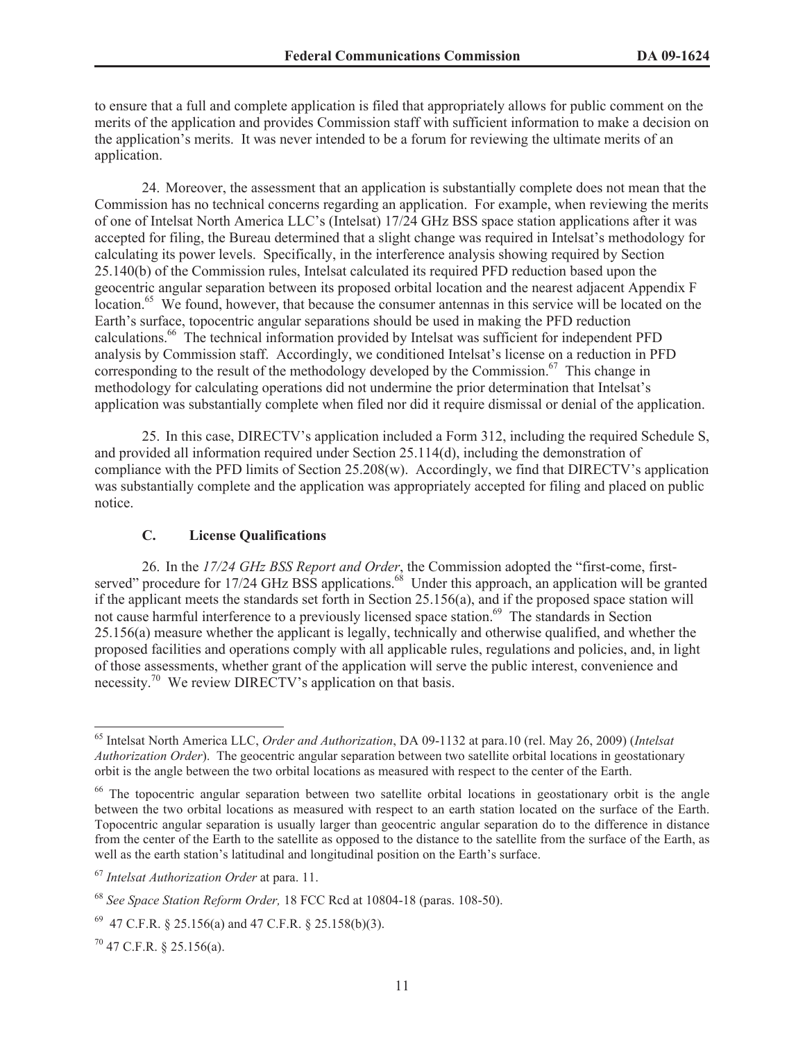to ensure that a full and complete application is filed that appropriately allows for public comment on the merits of the application and provides Commission staff with sufficient information to make a decision on the application's merits. It was never intended to be a forum for reviewing the ultimate merits of an application.

24. Moreover, the assessment that an application is substantially complete does not mean that the Commission has no technical concerns regarding an application. For example, when reviewing the merits of one of Intelsat North America LLC's (Intelsat) 17/24 GHz BSS space station applications after it was accepted for filing, the Bureau determined that a slight change was required in Intelsat's methodology for calculating its power levels. Specifically, in the interference analysis showing required by Section 25.140(b) of the Commission rules, Intelsat calculated its required PFD reduction based upon the geocentric angular separation between its proposed orbital location and the nearest adjacent Appendix F location.<sup>65</sup> We found, however, that because the consumer antennas in this service will be located on the Earth's surface, topocentric angular separations should be used in making the PFD reduction calculations.<sup>66</sup> The technical information provided by Intelsat was sufficient for independent PFD analysis by Commission staff. Accordingly, we conditioned Intelsat's license on a reduction in PFD corresponding to the result of the methodology developed by the Commission.<sup>67</sup> This change in methodology for calculating operations did not undermine the prior determination that Intelsat's application was substantially complete when filed nor did it require dismissal or denial of the application.

25. In this case, DIRECTV's application included a Form 312, including the required Schedule S, and provided all information required under Section 25.114(d), including the demonstration of compliance with the PFD limits of Section 25.208(w). Accordingly, we find that DIRECTV's application was substantially complete and the application was appropriately accepted for filing and placed on public notice.

## **C. License Qualifications**

26. In the *17/24 GHz BSS Report and Order*, the Commission adopted the "first-come, firstserved" procedure for 17/24 GHz BSS applications.<sup>68</sup> Under this approach, an application will be granted if the applicant meets the standards set forth in Section 25.156(a), and if the proposed space station will not cause harmful interference to a previously licensed space station.<sup>69</sup> The standards in Section 25.156(a) measure whether the applicant is legally, technically and otherwise qualified, and whether the proposed facilities and operations comply with all applicable rules, regulations and policies, and, in light of those assessments, whether grant of the application will serve the public interest, convenience and necessity.<sup>70</sup> We review DIRECTV's application on that basis.

<sup>65</sup> Intelsat North America LLC, *Order and Authorization*, DA 09-1132 at para.10 (rel. May 26, 2009) (*Intelsat Authorization Order*). The geocentric angular separation between two satellite orbital locations in geostationary orbit is the angle between the two orbital locations as measured with respect to the center of the Earth.

<sup>&</sup>lt;sup>66</sup> The topocentric angular separation between two satellite orbital locations in geostationary orbit is the angle between the two orbital locations as measured with respect to an earth station located on the surface of the Earth. Topocentric angular separation is usually larger than geocentric angular separation do to the difference in distance from the center of the Earth to the satellite as opposed to the distance to the satellite from the surface of the Earth, as well as the earth station's latitudinal and longitudinal position on the Earth's surface.

<sup>67</sup> *Intelsat Authorization Order* at para. 11.

<sup>68</sup> *See Space Station Reform Order,* 18 FCC Rcd at 10804-18 (paras. 108-50).

 $^{69}$  47 C.F.R. § 25.156(a) and 47 C.F.R. § 25.158(b)(3).

 $70$  47 C.F.R. § 25.156(a).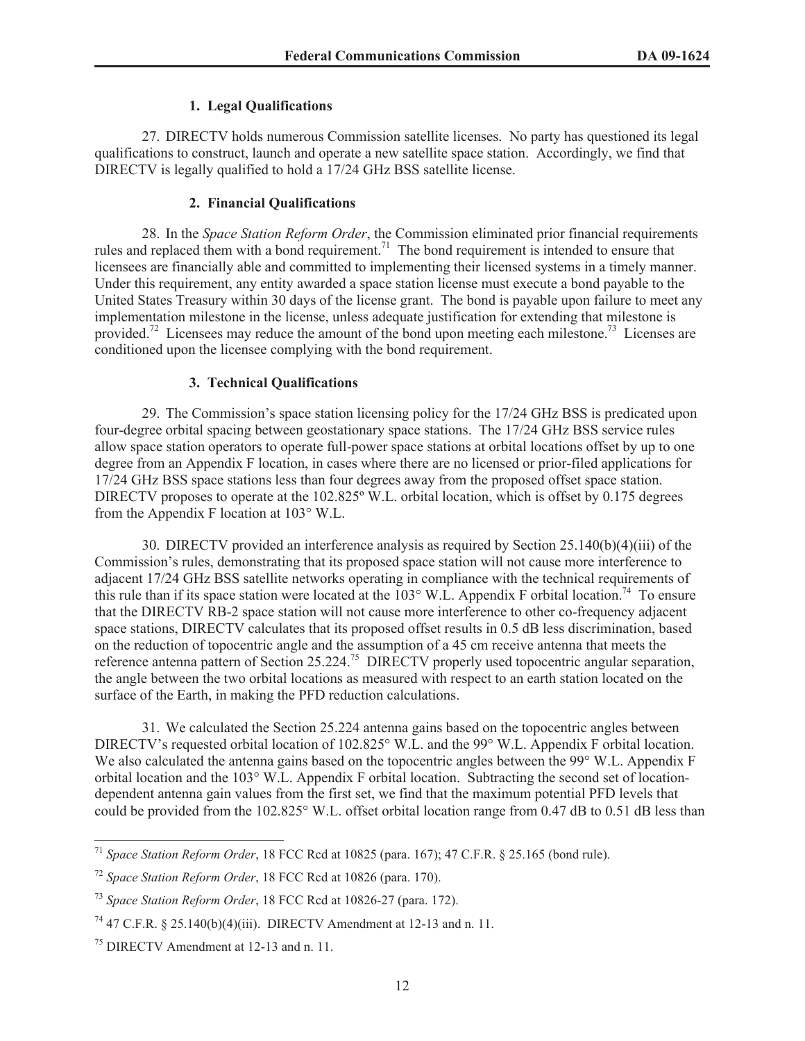#### **1. Legal Qualifications**

27. DIRECTV holds numerous Commission satellite licenses. No party has questioned its legal qualifications to construct, launch and operate a new satellite space station. Accordingly, we find that DIRECTV is legally qualified to hold a 17/24 GHz BSS satellite license.

## **2. Financial Qualifications**

28. In the *Space Station Reform Order*, the Commission eliminated prior financial requirements rules and replaced them with a bond requirement.<sup>71</sup> The bond requirement is intended to ensure that licensees are financially able and committed to implementing their licensed systems in a timely manner. Under this requirement, any entity awarded a space station license must execute a bond payable to the United States Treasury within 30 days of the license grant. The bond is payable upon failure to meet any implementation milestone in the license, unless adequate justification for extending that milestone is provided.<sup>72</sup> Licensees may reduce the amount of the bond upon meeting each milestone.<sup>73</sup> Licenses are conditioned upon the licensee complying with the bond requirement.

#### **3. Technical Qualifications**

29. The Commission's space station licensing policy for the 17/24 GHz BSS is predicated upon four-degree orbital spacing between geostationary space stations. The 17/24 GHz BSS service rules allow space station operators to operate full-power space stations at orbital locations offset by up to one degree from an Appendix F location, in cases where there are no licensed or prior-filed applications for 17/24 GHz BSS space stations less than four degrees away from the proposed offset space station. DIRECTV proposes to operate at the 102.825° W.L. orbital location, which is offset by 0.175 degrees from the Appendix F location at 103° W.L.

30. DIRECTV provided an interference analysis as required by Section 25.140(b)(4)(iii) of the Commission's rules, demonstrating that its proposed space station will not cause more interference to adjacent 17/24 GHz BSS satellite networks operating in compliance with the technical requirements of this rule than if its space station were located at the  $103^{\circ}$  W.L. Appendix F orbital location.<sup>74</sup> To ensure that the DIRECTV RB-2 space station will not cause more interference to other co-frequency adjacent space stations, DIRECTV calculates that its proposed offset results in 0.5 dB less discrimination, based on the reduction of topocentric angle and the assumption of a 45 cm receive antenna that meets the reference antenna pattern of Section 25.224.<sup>75</sup> DIRECTV properly used topocentric angular separation, the angle between the two orbital locations as measured with respect to an earth station located on the surface of the Earth, in making the PFD reduction calculations.

31. We calculated the Section 25.224 antenna gains based on the topocentric angles between DIRECTV's requested orbital location of 102.825° W.L. and the 99° W.L. Appendix F orbital location. We also calculated the antenna gains based on the topocentric angles between the 99° W.L. Appendix F orbital location and the 103° W.L. Appendix F orbital location. Subtracting the second set of locationdependent antenna gain values from the first set, we find that the maximum potential PFD levels that could be provided from the 102.825° W.L. offset orbital location range from 0.47 dB to 0.51 dB less than

<sup>71</sup> *Space Station Reform Order*, 18 FCC Rcd at 10825 (para. 167); 47 C.F.R. § 25.165 (bond rule).

<sup>72</sup> *Space Station Reform Order*, 18 FCC Rcd at 10826 (para. 170).

<sup>73</sup> *Space Station Reform Order*, 18 FCC Rcd at 10826-27 (para. 172).

<sup>&</sup>lt;sup>74</sup> 47 C.F.R. § 25.140(b)(4)(iii). DIRECTV Amendment at 12-13 and n. 11.

<sup>75</sup> DIRECTV Amendment at 12-13 and n. 11.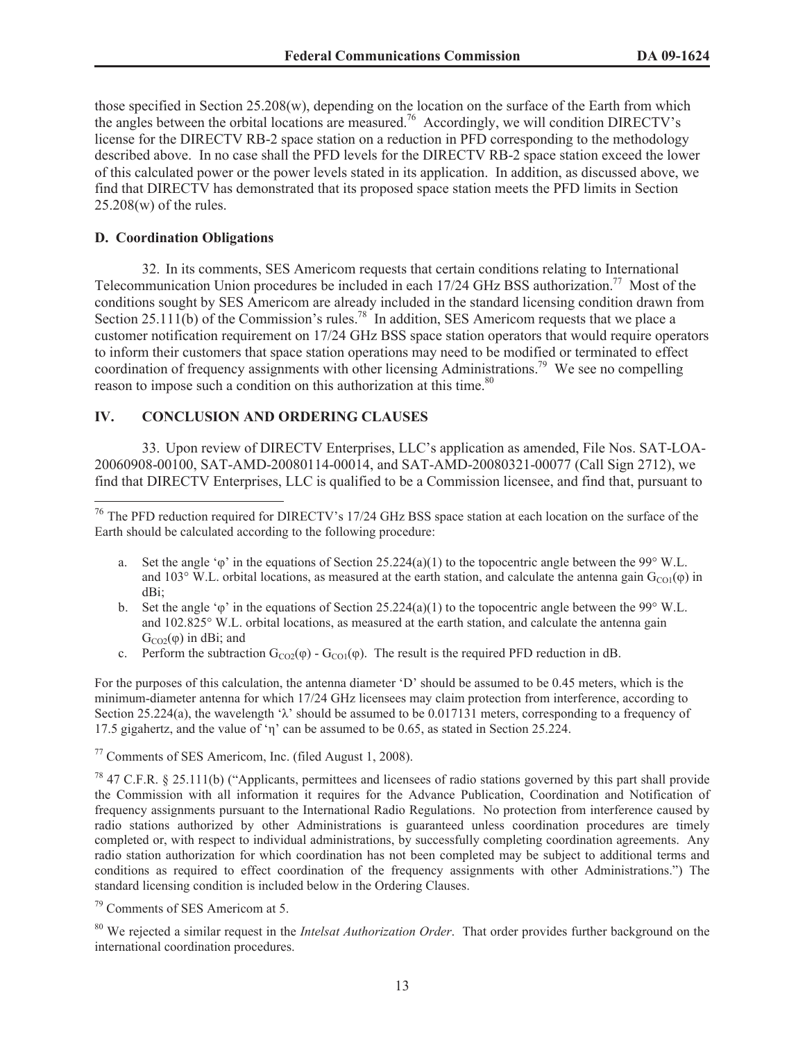those specified in Section 25.208(w), depending on the location on the surface of the Earth from which the angles between the orbital locations are measured.<sup>76</sup> Accordingly, we will condition DIRECTV's license for the DIRECTV RB-2 space station on a reduction in PFD corresponding to the methodology described above. In no case shall the PFD levels for the DIRECTV RB-2 space station exceed the lower of this calculated power or the power levels stated in its application. In addition, as discussed above, we find that DIRECTV has demonstrated that its proposed space station meets the PFD limits in Section 25.208(w) of the rules.

#### **D. Coordination Obligations**

32. In its comments, SES Americom requests that certain conditions relating to International Telecommunication Union procedures be included in each 17/24 GHz BSS authorization.<sup>77</sup> Most of the conditions sought by SES Americom are already included in the standard licensing condition drawn from Section 25.111(b) of the Commission's rules.<sup>78</sup> In addition, SES Americom requests that we place a customer notification requirement on 17/24 GHz BSS space station operators that would require operators to inform their customers that space station operations may need to be modified or terminated to effect coordination of frequency assignments with other licensing Administrations.<sup>79</sup> We see no compelling reason to impose such a condition on this authorization at this time.<sup>80</sup>

## **IV. CONCLUSION AND ORDERING CLAUSES**

33. Upon review of DIRECTV Enterprises, LLC's application as amended, File Nos. SAT-LOA-20060908-00100, SAT-AMD-20080114-00014, and SAT-AMD-20080321-00077 (Call Sign 2712), we find that DIRECTV Enterprises, LLC is qualified to be a Commission licensee, and find that, pursuant to

- a. Set the angle ' $\varphi$ ' in the equations of Section 25.224(a)(1) to the topocentric angle between the 99° W.L. and 103° W.L. orbital locations, as measured at the earth station, and calculate the antenna gain  $G_{CO1}(\phi)$  in dBi;
- b. Set the angle ' $\varphi$ ' in the equations of Section 25.224(a)(1) to the topocentric angle between the 99° W.L. and 102.825° W.L. orbital locations, as measured at the earth station, and calculate the antenna gain  $G_{CO2}(\phi)$  in dBi; and
- c. Perform the subtraction  $G_{CO2}(\varphi)$   $G_{CO1}(\varphi)$ . The result is the required PFD reduction in dB.

For the purposes of this calculation, the antenna diameter 'D' should be assumed to be 0.45 meters, which is the minimum-diameter antenna for which 17/24 GHz licensees may claim protection from interference, according to Section 25.224(a), the wavelength ' $\lambda$ ' should be assumed to be 0.017131 meters, corresponding to a frequency of 17.5 gigahertz, and the value of 'η' can be assumed to be 0.65, as stated in Section 25.224.

<sup>77</sup> Comments of SES Americom, Inc. (filed August 1, 2008).

 $78$  47 C.F.R. § 25.111(b) ("Applicants, permittees and licensees of radio stations governed by this part shall provide the Commission with all information it requires for the Advance Publication, Coordination and Notification of frequency assignments pursuant to the International Radio Regulations. No protection from interference caused by radio stations authorized by other Administrations is guaranteed unless coordination procedures are timely completed or, with respect to individual administrations, by successfully completing coordination agreements. Any radio station authorization for which coordination has not been completed may be subject to additional terms and conditions as required to effect coordination of the frequency assignments with other Administrations.") The standard licensing condition is included below in the Ordering Clauses.

<sup>80</sup> We rejected a similar request in the *Intelsat Authorization Order*. That order provides further background on the international coordination procedures.

<sup>&</sup>lt;sup>76</sup> The PFD reduction required for DIRECTV's 17/24 GHz BSS space station at each location on the surface of the Earth should be calculated according to the following procedure:

 $79$  Comments of SES Americom at 5.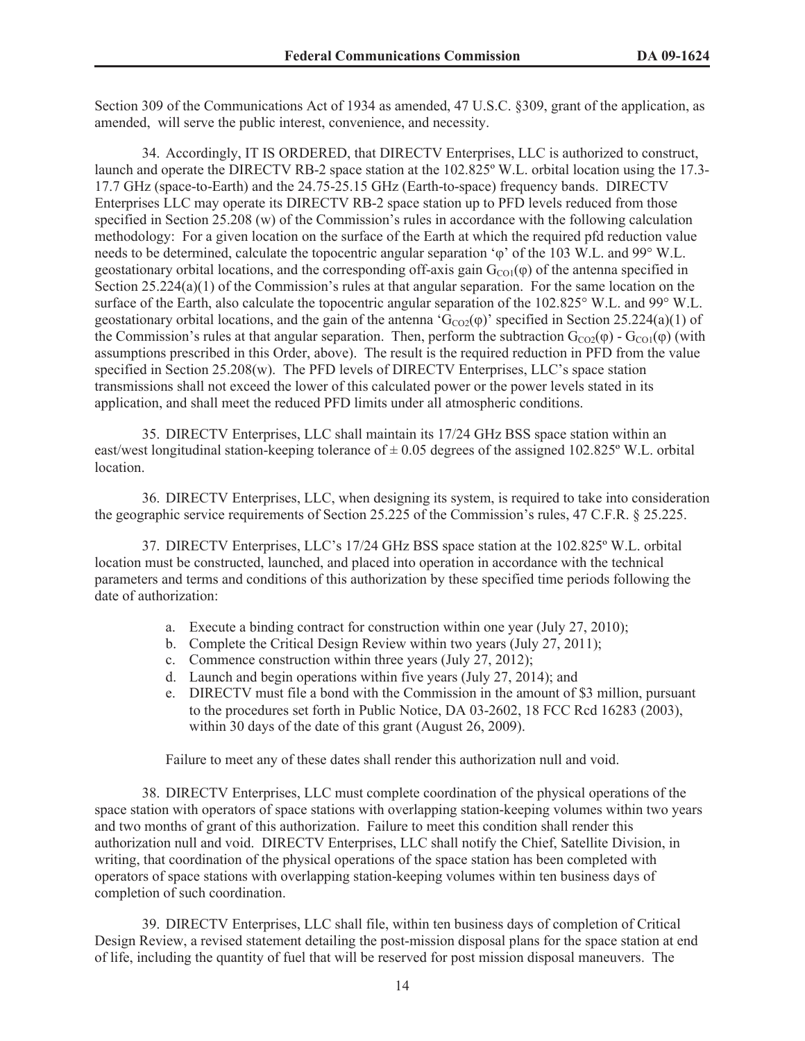Section 309 of the Communications Act of 1934 as amended, 47 U.S.C. §309, grant of the application, as amended, will serve the public interest, convenience, and necessity.

34. Accordingly, IT IS ORDERED, that DIRECTV Enterprises, LLC is authorized to construct, launch and operate the DIRECTV RB-2 space station at the 102.825º W.L. orbital location using the 17.3- 17.7 GHz (space-to-Earth) and the 24.75-25.15 GHz (Earth-to-space) frequency bands. DIRECTV Enterprises LLC may operate its DIRECTV RB-2 space station up to PFD levels reduced from those specified in Section 25.208 (w) of the Commission's rules in accordance with the following calculation methodology: For a given location on the surface of the Earth at which the required pfd reduction value needs to be determined, calculate the topocentric angular separation 'φ' of the 103 W.L. and 99° W.L. geostationary orbital locations, and the corresponding off-axis gain  $G_{\text{CO}}(\phi)$  of the antenna specified in Section 25.224(a)(1) of the Commission's rules at that angular separation. For the same location on the surface of the Earth, also calculate the topocentric angular separation of the 102.825° W.L. and 99° W.L. geostationary orbital locations, and the gain of the antenna ' $G_{CO2}(\varphi)$ ' specified in Section 25.224(a)(1) of the Commission's rules at that angular separation. Then, perform the subtraction  $G_{CO2}(\phi)$  -  $G_{CO1}(\phi)$  (with assumptions prescribed in this Order, above). The result is the required reduction in PFD from the value specified in Section 25.208(w). The PFD levels of DIRECTV Enterprises, LLC's space station transmissions shall not exceed the lower of this calculated power or the power levels stated in its application, and shall meet the reduced PFD limits under all atmospheric conditions.

35. DIRECTV Enterprises, LLC shall maintain its 17/24 GHz BSS space station within an east/west longitudinal station-keeping tolerance of  $\pm$  0.05 degrees of the assigned 102.825° W.L. orbital location.

36. DIRECTV Enterprises, LLC, when designing its system, is required to take into consideration the geographic service requirements of Section 25.225 of the Commission's rules, 47 C.F.R. § 25.225.

37. DIRECTV Enterprises, LLC's 17/24 GHz BSS space station at the 102.825º W.L. orbital location must be constructed, launched, and placed into operation in accordance with the technical parameters and terms and conditions of this authorization by these specified time periods following the date of authorization:

- a. Execute a binding contract for construction within one year (July 27, 2010);
- b. Complete the Critical Design Review within two years (July 27, 2011);
- c. Commence construction within three years (July 27, 2012);
- d. Launch and begin operations within five years (July 27, 2014); and
- e. DIRECTV must file a bond with the Commission in the amount of \$3 million, pursuant to the procedures set forth in Public Notice, DA 03-2602, 18 FCC Rcd 16283 (2003), within 30 days of the date of this grant (August 26, 2009).

Failure to meet any of these dates shall render this authorization null and void.

38. DIRECTV Enterprises, LLC must complete coordination of the physical operations of the space station with operators of space stations with overlapping station-keeping volumes within two years and two months of grant of this authorization. Failure to meet this condition shall render this authorization null and void. DIRECTV Enterprises, LLC shall notify the Chief, Satellite Division, in writing, that coordination of the physical operations of the space station has been completed with operators of space stations with overlapping station-keeping volumes within ten business days of completion of such coordination.

39. DIRECTV Enterprises, LLC shall file, within ten business days of completion of Critical Design Review, a revised statement detailing the post-mission disposal plans for the space station at end of life, including the quantity of fuel that will be reserved for post mission disposal maneuvers. The